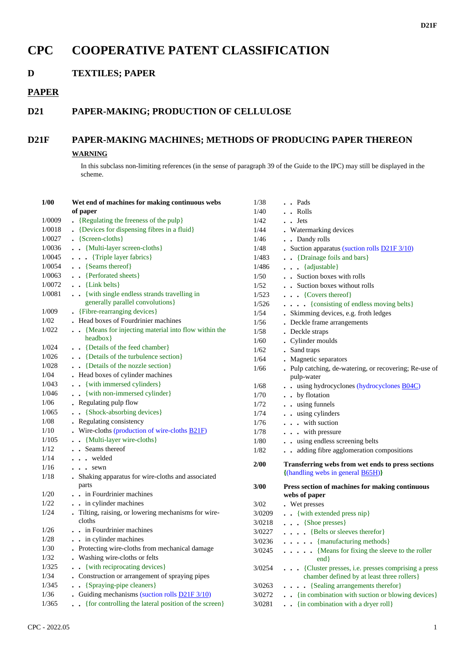# **CPC COOPERATIVE PATENT CLASSIFICATION**

**D TEXTILES; PAPER**

### **PAPER**

## **D21 PAPER-MAKING; PRODUCTION OF CELLULOSE**

## **D21F PAPER-MAKING MACHINES; METHODS OF PRODUCING PAPER THEREON**

#### **WARNING**

In this subclass non-limiting references (in the sense of paragraph 39 of the Guide to the IPC) may still be displayed in the scheme.

| 1/00   | Wet end of machines for making continuous webs<br>of paper    | 1/38<br>1/40 | . . Pads<br>. . Rolls                                  |
|--------|---------------------------------------------------------------|--------------|--------------------------------------------------------|
| 1/0009 | • {Regulating the freeness of the pulp}                       | 1/42         | $\cdot$ $\cdot$ Jets                                   |
| 1/0018 | • {Devices for dispensing fibres in a fluid}                  | 1/44         | . Watermarking devices                                 |
| 1/0027 | • {Screen-cloths}                                             | 1/46         | . . Dandy rolls                                        |
| 1/0036 | . . {Multi-layer screen-cloths}                               | 1/48         | • Suction apparatus (suction rolls D21F 3/10)          |
| 1/0045 | . {Triple layer fabrics}                                      | 1/483        | . . {Drainage foils and bars}                          |
| 1/0054 | . . {Seams thereof}                                           | 1/486        | . {adjustable}                                         |
| 1/0063 | . . {Perforated sheets}                                       | 1/50         | . Suction boxes with rolls                             |
| 1/0072 | $\bullet$ {Link belts}                                        | $1/52$       | Suction boxes without rolls                            |
| 1/0081 | . . {with single endless strands travelling in                | 1/523        | $\ldots$ {Covers thereof}                              |
|        | generally parallel convolutions}                              | 1/526        | . {consisting of endless moving belts}                 |
| 1/009  | • {Fibre-rearranging devices}                                 | 1/54         | . Skimming devices, e.g. froth ledges                  |
| 1/02   | . Head boxes of Fourdrinier machines                          | 1/56         | . Deckle frame arrangements                            |
| 1/022  | . . {Means for injecting material into flow within the        | 1/58         | . Deckle straps                                        |
|        | headbox }                                                     | 1/60         | . Cylinder moulds                                      |
| 1/024  | . . {Details of the feed chamber}                             | 1/62         | . Sand traps                                           |
| 1/026  | . Details of the turbulence section}                          | 1/64         | . Magnetic separators                                  |
| 1/028  | . . {Details of the nozzle section}                           | 1/66         | . Pulp catching, de-watering, or recovering; Re-use of |
| 1/04   | . Head boxes of cylinder machines                             |              | pulp-water                                             |
| 1/043  | . . {with immersed cylinders}                                 | 1/68         | . . using hydrocyclones (hydrocyclones B04C)           |
| 1/046  | . . {with non-immersed cylinder}                              | 1/70         | . . by flotation                                       |
| 1/06   | • Regulating pulp flow                                        | 1/72         | . . using funnels                                      |
| 1/065  | . {Shock-absorbing devices}                                   | 1/74         | . . using cylinders                                    |
| 1/08   | • Regulating consistency                                      | 1/76         | . with suction                                         |
| 1/10   | . Wire-cloths (production of wire-cloths $\underline{B21F}$ ) | 1/78         | . with pressure                                        |
| 1/105  | . . {Multi-layer wire-cloths}                                 | 1/80         | . . using endless screening belts                      |
| 1/12   | . . Seams thereof                                             | 1/82         | adding fibre agglomeration compositions                |
| 1/14   | welded                                                        |              |                                                        |
| 1/16   | $\cdots$ sewn                                                 | 2/00         | Transferring webs from wet ends to press sections      |
| 1/18   | . Shaking apparatus for wire-cloths and associated            |              | {(handling webs in general <b>B65H</b> )}              |
|        | parts                                                         | 3/00         | Press section of machines for making continuous        |
| 1/20   | . . in Fourdrinier machines                                   |              | webs of paper                                          |
| 1/22   | . . in cylinder machines                                      | 3/02         | . Wet presses                                          |
| 1/24   | . Tilting, raising, or lowering mechanisms for wire-          | 3/0209       | . { with extended press nip}                           |
|        | cloths                                                        | 3/0218       | . {Shoe presses}                                       |
| 1/26   | . . in Fourdrinier machines                                   | 3/0227       | {Belts or sleeves therefor}                            |
| 1/28   | . . in cylinder machines                                      | 3/0236       | . {manufacturing methods}                              |
| 1/30   | . Protecting wire-cloths from mechanical damage               | 3/0245       | . {Means for fixing the sleeve to the roller           |
| 1/32   | . Washing wire-cloths or felts                                |              | end                                                    |
| 1/325  | . { with reciprocating devices }                              | 3/0254       | {Cluster presses, i.e. presses comprising a press      |
| 1/34   | • Construction or arrangement of spraying pipes               |              | chamber defined by at least three rollers}             |
| 1/345  | • · {Spraying-pipe cleaners}                                  | 3/0263       | . {Sealing arrangements therefor}                      |
| 1/36   | • Guiding mechanisms (suction rolls $D21F3/10$ )              | 3/0272       | . {in combination with suction or blowing devices}     |
|        |                                                               |              |                                                        |